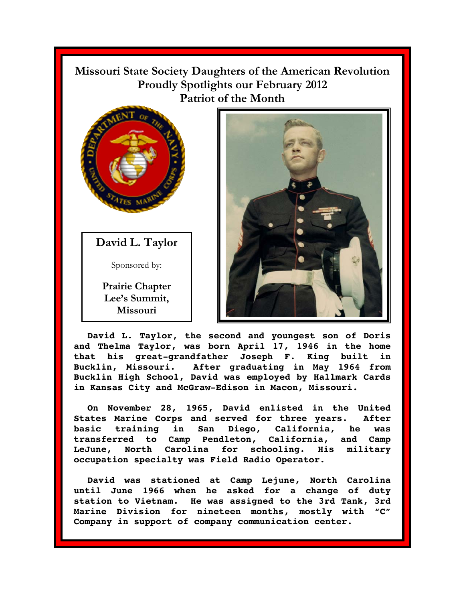**Missouri State Society Daughters of the American Revolution Proudly Spotlights our February 2012 Patriot of the Month** 



**David L. Taylor** 

Sponsored by:

**Prairie Chapter**  Lee's Summit, **Missouri** 



**David L. Taylor, the second and youngest son of Doris and Thelma Taylor, was born April 17, 1946 in the home that his great-grandfather Joseph F. King built in Bucklin, Missouri. After graduating in May 1964 from Bucklin High School, David was employed by Hallmark Cards in Kansas City and McGraw-Edison in Macon, Missouri.** 

**On November 28, 1965, David enlisted in the United States Marine Corps and served for three years. After basic training in San Diego, California, he was transferred to Camp Pendleton, California, and Camp LeJune, North Carolina for schooling. His military occupation specialty was Field Radio Operator.** 

**David was stationed at Camp Lejune, North Carolina until June 1966 when he asked for a change of duty station to Vietnam. He was assigned to the 3rd Tank, 3rd Marine Division for nineteen months, mostly with "C" Company in support of company communication center.**